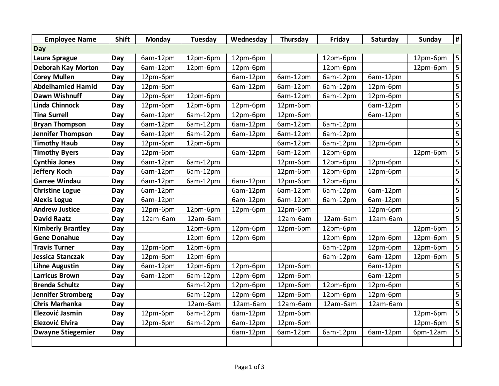| <b>Employee Name</b>      | <b>Shift</b> | Monday   | Tuesday  | Wednesday | Thursday | Friday   | Saturday | Sunday   | #                       |
|---------------------------|--------------|----------|----------|-----------|----------|----------|----------|----------|-------------------------|
| Day                       |              |          |          |           |          |          |          |          |                         |
| Laura Sprague             | Day          | 6am-12pm | 12pm-6pm | 12pm-6pm  |          | 12pm-6pm |          | 12pm-6pm | 5                       |
| <b>Deborah Kay Morton</b> | Day          | 6am-12pm | 12pm-6pm | 12pm-6pm  |          | 12pm-6pm |          | 12pm-6pm | 5                       |
| <b>Corey Mullen</b>       | Day          | 12pm-6pm |          | 6am-12pm  | 6am-12pm | 6am-12pm | 6am-12pm |          | $\overline{\mathbf{5}}$ |
| <b>Abdelhamied Hamid</b>  | Day          | 12pm-6pm |          | 6am-12pm  | 6am-12pm | 6am-12pm | 12pm-6pm |          | $\overline{5}$          |
| <b>Dawn Wishnuff</b>      | Day          | 12pm-6pm | 12pm-6pm |           | 6am-12pm | 6am-12pm | 12pm-6pm |          | 5                       |
| <b>Linda Chinnock</b>     | Day          | 12pm-6pm | 12pm-6pm | 12pm-6pm  | 12pm-6pm |          | 6am-12pm |          |                         |
| <b>Tina Surrell</b>       | Day          | 6am-12pm | 6am-12pm | 12pm-6pm  | 12pm-6pm |          | 6am-12pm |          | $\overline{\mathbf{5}}$ |
| <b>Bryan Thompson</b>     | Day          | 6am-12pm | 6am-12pm | 6am-12pm  | 6am-12pm | 6am-12pm |          |          |                         |
| <b>Jennifer Thompson</b>  | Day          | 6am-12pm | 6am-12pm | 6am-12pm  | 6am-12pm | 6am-12pm |          |          | 5                       |
| <b>Timothy Haub</b>       | Day          | 12pm-6pm | 12pm-6pm |           | 6am-12pm | 6am-12pm | 12pm-6pm |          | $\overline{5}$          |
| <b>Timothy Byers</b>      | Day          | 12pm-6pm |          | 6am-12pm  | 6am-12pm | 12pm-6pm |          | 12pm-6pm | $\overline{\mathbf{5}}$ |
| <b>Cynthia Jones</b>      | Day          | 6am-12pm | 6am-12pm |           | 12pm-6pm | 12pm-6pm | 12pm-6pm |          | 5                       |
| <b>Jeffery Koch</b>       | Day          | 6am-12pm | 6am-12pm |           | 12pm-6pm | 12pm-6pm | 12pm-6pm |          | $\overline{\mathbf{5}}$ |
| <b>Garree Windau</b>      | Day          | 6am-12pm | 6am-12pm | 6am-12pm  | 12pm-6pm | 12pm-6pm |          |          | 5                       |
| <b>Christine Logue</b>    | Day          | 6am-12pm |          | 6am-12pm  | 6am-12pm | 6am-12pm | 6am-12pm |          | $\mathsf S$             |
| <b>Alexis Logue</b>       | Day          | 6am-12pm |          | 6am-12pm  | 6am-12pm | 6am-12pm | 6am-12pm |          | $\overline{5}$          |
| <b>Andrew Justice</b>     | Day          | 12pm-6pm | 12pm-6pm | 12pm-6pm  | 12pm-6pm |          | 12pm-6pm |          |                         |
| <b>David Raatz</b>        | Day          | 12am-6am | 12am-6am |           | 12am-6am | 12am-6am | 12am-6am |          | $\overline{5}$          |
| <b>Kimberly Brantley</b>  | Day          |          | 12pm-6pm | 12pm-6pm  | 12pm-6pm | 12pm-6pm |          | 12pm-6pm |                         |
| <b>Gene Donahue</b>       | Day          |          | 12pm-6pm | 12pm-6pm  |          | 12pm-6pm | 12pm-6pm | 12pm-6pm |                         |
| <b>Travis Turner</b>      | Day          | 12pm-6pm | 12pm-6pm |           |          | 6am-12pm | 12pm-6pm | 12pm-6pm |                         |
| Jessica Stanczak          | Day          | 12pm-6pm | 12pm-6pm |           |          | 6am-12pm | 6am-12pm | 12pm-6pm | 5                       |
| <b>Lihne Augustin</b>     | Day          | 6am-12pm | 12pm-6pm | 12pm-6pm  | 12pm-6pm |          | 6am-12pm |          | 5                       |
| <b>Larricus Brown</b>     | Day          | 6am-12pm | 6am-12pm | 12pm-6pm  | 12pm-6pm |          | 6am-12pm |          | $\overline{5}$          |
| <b>Brenda Schultz</b>     | Day          |          | 6am-12pm | 12pm-6pm  | 12pm-6pm | 12pm-6pm | 12pm-6pm |          | 5                       |
| <b>Jennifer Stromberg</b> | Day          |          | 6am-12pm | 12pm-6pm  | 12pm-6pm | 12pm-6pm | 12pm-6pm |          | $\overline{5}$          |
| <b>Chris Marhanka</b>     | Day          |          | 12am-6am | 12am-6am  | 12am-6am | 12am-6am | 12am-6am |          | $\overline{5}$          |
| Elezović Jasmin           | Day          | 12pm-6pm | 6am-12pm | 6am-12pm  | 12pm-6pm |          |          | 12pm-6pm | $\overline{5}$          |
| Elezović Elvira           | Day          | 12pm-6pm | 6am-12pm | 6am-12pm  | 12pm-6pm |          |          | 12pm-6pm | 5                       |
| <b>Dwayne Stiegemier</b>  | Day          |          |          | 6am-12pm  | 6am-12pm | 6am-12pm | 6am-12pm | 6pm-12am | 5                       |
|                           |              |          |          |           |          |          |          |          |                         |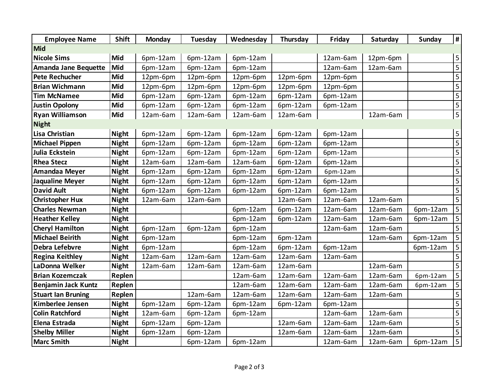| <b>Employee Name</b>        | <b>Shift</b> | Monday   | Tuesday  | Wednesday | Thursday | Friday   | Saturday | Sunday   | $\overline{\mathbf{H}}$              |
|-----------------------------|--------------|----------|----------|-----------|----------|----------|----------|----------|--------------------------------------|
| <b>Mid</b>                  |              |          |          |           |          |          |          |          |                                      |
| <b>Nicole Sims</b>          | Mid          | 6pm-12am | 6pm-12am | 6pm-12am  |          | 12am-6am | 12pm-6pm |          | $\overline{\mathbf{5}}$              |
| <b>Amanda Jane Bequette</b> | Mid          | 6pm-12am | 6pm-12am | 6pm-12am  |          | 12am-6am | 12am-6am |          | $\overline{\overline{\overline{5}}}$ |
| <b>Pete Rechucher</b>       | Mid          | 12pm-6pm | 12pm-6pm | 12pm-6pm  | 12pm-6pm | 12pm-6pm |          |          |                                      |
| <b>Brian Wichmann</b>       | Mid          | 12pm-6pm | 12pm-6pm | 12pm-6pm  | 12pm-6pm | 12pm-6pm |          |          | $\overline{5}$                       |
| <b>Tim McNamee</b>          | Mid          | 6pm-12am | 6pm-12am | 6pm-12am  | 6pm-12am | 6pm-12am |          |          | $\overline{\overline{\overline{5}}}$ |
| <b>Justin Opolony</b>       | Mid          | 6pm-12am | 6pm-12am | 6pm-12am  | 6pm-12am | 6pm-12am |          |          |                                      |
| <b>Ryan Williamson</b>      | Mid          | 12am-6am | 12am-6am | 12am-6am  | 12am-6am |          | 12am-6am |          | $\overline{5}$                       |
| <b>Night</b>                |              |          |          |           |          |          |          |          |                                      |
| <b>Lisa Christian</b>       | <b>Night</b> | 6pm-12am | 6pm-12am | 6pm-12am  | 6pm-12am | 6pm-12am |          |          | $\overline{5}$                       |
| <b>Michael Pippen</b>       | <b>Night</b> | 6pm-12am | 6pm-12am | 6pm-12am  | 6pm-12am | 6pm-12am |          |          | $\overline{\overline{\overline{5}}}$ |
| Julia Eckstein              | <b>Night</b> | 6pm-12am | 6pm-12am | 6pm-12am  | 6pm-12am | 6pm-12am |          |          |                                      |
| <b>Rhea Stecz</b>           | <b>Night</b> | 12am-6am | 12am-6am | 12am-6am  | 6pm-12am | 6pm-12am |          |          |                                      |
| Amandaa Meyer               | <b>Night</b> | 6pm-12am | 6pm-12am | 6pm-12am  | 6pm-12am | 6pm-12am |          |          | 5                                    |
| <b>Jaqualine Meyer</b>      | <b>Night</b> | 6pm-12am | 6pm-12am | 6pm-12am  | 6pm-12am | 6pm-12am |          |          | $\overline{5}$                       |
| <b>David Ault</b>           | <b>Night</b> | 6pm-12am | 6pm-12am | 6pm-12am  | 6pm-12am | 6pm-12am |          |          |                                      |
| <b>Christopher Hux</b>      | <b>Night</b> | 12am-6am | 12am-6am |           | 12am-6am | 12am-6am | 12am-6am |          |                                      |
| <b>Charles Newman</b>       | <b>Night</b> |          |          | 6pm-12am  | 6pm-12am | 12am-6am | 12am-6am | 6pm-12am | $\overline{5}$                       |
| <b>Heather Kelley</b>       | <b>Night</b> |          |          | 6pm-12am  | 6pm-12am | 12am-6am | 12am-6am | 6pm-12am | 5                                    |
| <b>Cheryl Hamilton</b>      | <b>Night</b> | 6pm-12am | 6pm-12am | 6pm-12am  |          | 12am-6am | 12am-6am |          | $\overline{\mathbf{5}}$              |
| <b>Michael Beirith</b>      | <b>Night</b> | 6pm-12am |          | 6pm-12am  | 6pm-12am |          | 12am-6am | 6pm-12am | $\overline{5}$                       |
| Debra Lefebvre              | <b>Night</b> | 6pm-12am |          | 6pm-12am  | 6pm-12am | 6pm-12am |          | 6pm-12am | $\mathsf S$                          |
| <b>Regina Keithley</b>      | <b>Night</b> | 12am-6am | 12am-6am | 12am-6am  | 12am-6am | 12am-6am |          |          | $\overline{5}$                       |
| LaDonna Welker              | <b>Night</b> | 12am-6am | 12am-6am | 12am-6am  | 12am-6am |          | 12am-6am |          |                                      |
| <b>Brian Kozemczak</b>      | Replen       |          |          | 12am-6am  | 12am-6am | 12am-6am | 12am-6am | 6pm-12am |                                      |
| <b>Benjamin Jack Kuntz</b>  | Replen       |          |          | 12am-6am  | 12am-6am | 12am-6am | 12am-6am | 6pm-12am | 5                                    |
| <b>Stuart lan Bruning</b>   | Replen       |          | 12am-6am | 12am-6am  | 12am-6am | 12am-6am | 12am-6am |          | 5                                    |
| Kimberlee Jensen            | <b>Night</b> | 6pm-12am | 6pm-12am | 6pm-12am  | 6pm-12am | 6pm-12am |          |          | $\overline{\mathbf{5}}$              |
| <b>Colin Ratchford</b>      | <b>Night</b> | 12am-6am | 6pm-12am | 6pm-12am  |          | 12am-6am | 12am-6am |          |                                      |
| Elena Estrada               | <b>Night</b> | 6pm-12am | 6pm-12am |           | 12am-6am | 12am-6am | 12am-6am |          | $\overline{5}$                       |
| <b>Shelby Miller</b>        | <b>Night</b> | 6pm-12am | 6pm-12am |           | 12am-6am | 12am-6am | 12am-6am |          | $\overline{\overline{\overline{5}}}$ |
| <b>Marc Smith</b>           | <b>Night</b> |          | 6pm-12am | 6pm-12am  |          | 12am-6am | 12am-6am | 6pm-12am | $\overline{\overline{\overline{5}}}$ |